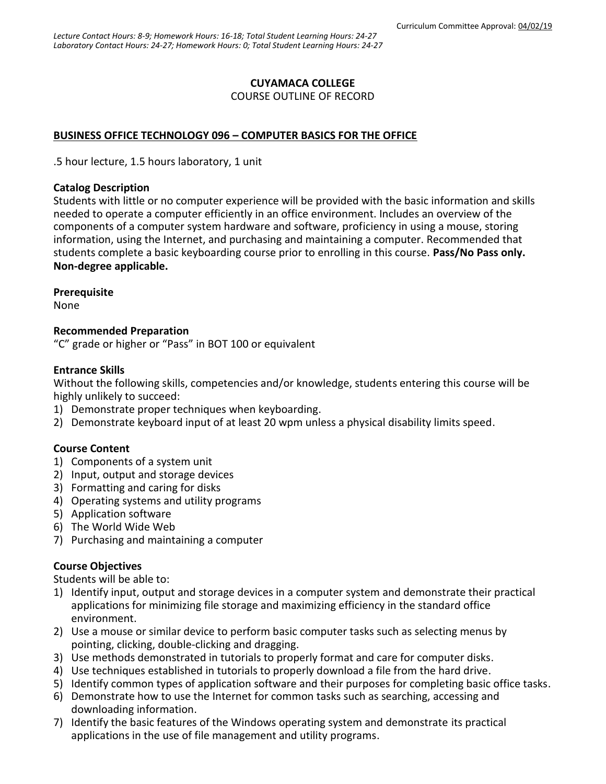## **CUYAMACA COLLEGE**

COURSE OUTLINE OF RECORD

## **BUSINESS OFFICE TECHNOLOGY 096 – COMPUTER BASICS FOR THE OFFICE**

.5 hour lecture, 1.5 hours laboratory, 1 unit

### **Catalog Description**

Students with little or no computer experience will be provided with the basic information and skills needed to operate a computer efficiently in an office environment. Includes an overview of the components of a computer system hardware and software, proficiency in using a mouse, storing information, using the Internet, and purchasing and maintaining a computer. Recommended that students complete a basic keyboarding course prior to enrolling in this course. **Pass/No Pass only. Non-degree applicable.**

### **Prerequisite**

None

### **Recommended Preparation**

"C" grade or higher or "Pass" in BOT 100 or equivalent

### **Entrance Skills**

Without the following skills, competencies and/or knowledge, students entering this course will be highly unlikely to succeed:

- 1) Demonstrate proper techniques when keyboarding.
- 2) Demonstrate keyboard input of at least 20 wpm unless a physical disability limits speed.

### **Course Content**

- 1) Components of a system unit
- 2) Input, output and storage devices
- 3) Formatting and caring for disks
- 4) Operating systems and utility programs
- 5) Application software
- 6) The World Wide Web
- 7) Purchasing and maintaining a computer

### **Course Objectives**

Students will be able to:

- 1) Identify input, output and storage devices in a computer system and demonstrate their practical applications for minimizing file storage and maximizing efficiency in the standard office environment.
- 2) Use a mouse or similar device to perform basic computer tasks such as selecting menus by pointing, clicking, double-clicking and dragging.
- 3) Use methods demonstrated in tutorials to properly format and care for computer disks.
- 4) Use techniques established in tutorials to properly download a file from the hard drive.
- 5) Identify common types of application software and their purposes for completing basic office tasks.
- 6) Demonstrate how to use the Internet for common tasks such as searching, accessing and downloading information.
- 7) Identify the basic features of the Windows operating system and demonstrate its practical applications in the use of file management and utility programs.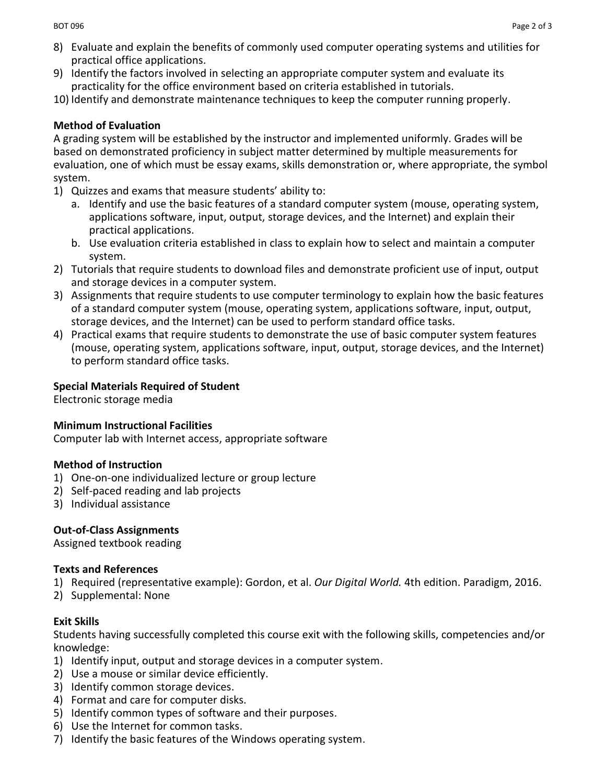- 8) Evaluate and explain the benefits of commonly used computer operating systems and utilities for practical office applications.
- 9) Identify the factors involved in selecting an appropriate computer system and evaluate its practicality for the office environment based on criteria established in tutorials.
- 10) Identify and demonstrate maintenance techniques to keep the computer running properly.

# **Method of Evaluation**

A grading system will be established by the instructor and implemented uniformly. Grades will be based on demonstrated proficiency in subject matter determined by multiple measurements for evaluation, one of which must be essay exams, skills demonstration or, where appropriate, the symbol system.

- 1) Quizzes and exams that measure students' ability to:
	- a. Identify and use the basic features of a standard computer system (mouse, operating system, applications software, input, output, storage devices, and the Internet) and explain their practical applications.
	- b. Use evaluation criteria established in class to explain how to select and maintain a computer system.
- 2) Tutorials that require students to download files and demonstrate proficient use of input, output and storage devices in a computer system.
- 3) Assignments that require students to use computer terminology to explain how the basic features of a standard computer system (mouse, operating system, applications software, input, output, storage devices, and the Internet) can be used to perform standard office tasks.
- 4) Practical exams that require students to demonstrate the use of basic computer system features (mouse, operating system, applications software, input, output, storage devices, and the Internet) to perform standard office tasks.

# **Special Materials Required of Student**

Electronic storage media

## **Minimum Instructional Facilities**

Computer lab with Internet access, appropriate software

## **Method of Instruction**

- 1) One-on-one individualized lecture or group lecture
- 2) Self-paced reading and lab projects
- 3) Individual assistance

## **Out-of-Class Assignments**

Assigned textbook reading

## **Texts and References**

- 1) Required (representative example): Gordon, et al. *Our Digital World.* 4th edition. Paradigm, 2016.
- 2) Supplemental: None

## **Exit Skills**

Students having successfully completed this course exit with the following skills, competencies and/or knowledge:

- 1) Identify input, output and storage devices in a computer system.
- 2) Use a mouse or similar device efficiently.
- 3) Identify common storage devices.
- 4) Format and care for computer disks.
- 5) Identify common types of software and their purposes.
- 6) Use the Internet for common tasks.
- 7) Identify the basic features of the Windows operating system.